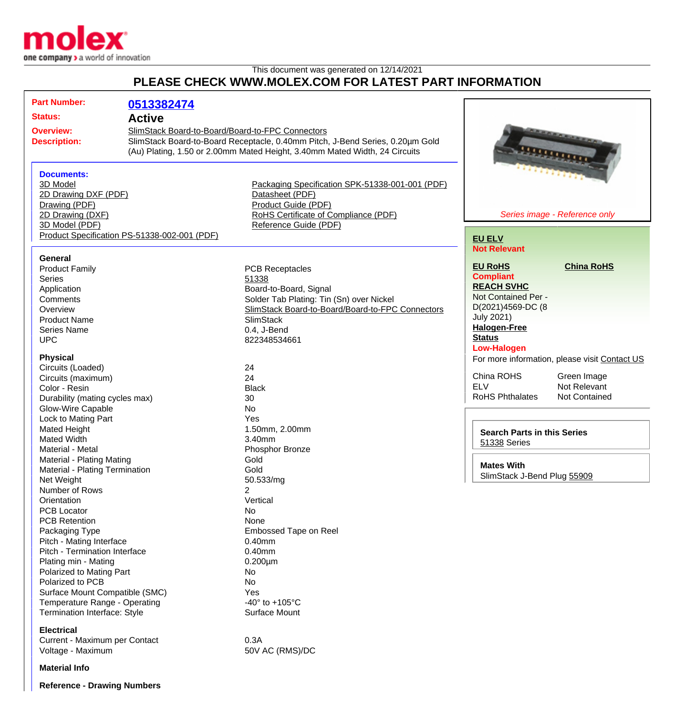

## This document was generated on 12/14/2021 **PLEASE CHECK WWW.MOLEX.COM FOR LATEST PART INFORMATION**

| <b>Part Number:</b><br><b>Status:</b><br><b>Active</b><br><b>Overview:</b><br><b>Description:</b><br><b>Documents:</b><br>3D Model                                                                                                                                                                                                                                                                                                                                                                                                                                                                                                                                                                                                                                                                                                  | 0513382474<br>SlimStack Board-to-Board/Board-to-FPC Connectors<br>SlimStack Board-to-Board Receptacle, 0.40mm Pitch, J-Bend Series, 0.20µm Gold<br>(Au) Plating, 1.50 or 2.00mm Mated Height, 3.40mm Mated Width, 24 Circuits<br>Packaging Specification SPK-51338-001-001 (PDF)                                                                                                                                                                                                                                                  | <u>SAHARRASKARA</u>                                                                                                                                                                                                                                                                                                                                                                                                                                                                                        |
|-------------------------------------------------------------------------------------------------------------------------------------------------------------------------------------------------------------------------------------------------------------------------------------------------------------------------------------------------------------------------------------------------------------------------------------------------------------------------------------------------------------------------------------------------------------------------------------------------------------------------------------------------------------------------------------------------------------------------------------------------------------------------------------------------------------------------------------|-----------------------------------------------------------------------------------------------------------------------------------------------------------------------------------------------------------------------------------------------------------------------------------------------------------------------------------------------------------------------------------------------------------------------------------------------------------------------------------------------------------------------------------|------------------------------------------------------------------------------------------------------------------------------------------------------------------------------------------------------------------------------------------------------------------------------------------------------------------------------------------------------------------------------------------------------------------------------------------------------------------------------------------------------------|
| 2D Drawing DXF (PDF)<br>Drawing (PDF)<br>2D Drawing (DXF)<br>3D Model (PDF)<br>Product Specification PS-51338-002-001 (PDF)                                                                                                                                                                                                                                                                                                                                                                                                                                                                                                                                                                                                                                                                                                         | Datasheet (PDF)<br>Product Guide (PDF)<br>RoHS Certificate of Compliance (PDF)<br>Reference Guide (PDF)                                                                                                                                                                                                                                                                                                                                                                                                                           | Series image - Reference only<br><b>EU ELV</b>                                                                                                                                                                                                                                                                                                                                                                                                                                                             |
| <b>General</b><br><b>Product Family</b><br><b>Series</b><br>Application<br>Comments<br>Overview<br><b>Product Name</b><br><b>Series Name</b><br><b>UPC</b><br><b>Physical</b><br>Circuits (Loaded)<br>Circuits (maximum)<br>Color - Resin<br>Durability (mating cycles max)<br><b>Glow-Wire Capable</b><br>Lock to Mating Part<br>Mated Height<br><b>Mated Width</b><br>Material - Metal<br>Material - Plating Mating<br>Material - Plating Termination<br>Net Weight<br>Number of Rows<br>Orientation<br><b>PCB Locator</b><br><b>PCB Retention</b><br>Packaging Type<br>Pitch - Mating Interface<br>Pitch - Termination Interface<br>Plating min - Mating<br>Polarized to Mating Part<br>Polarized to PCB<br>Surface Mount Compatible (SMC)<br>Temperature Range - Operating<br>Termination Interface: Style<br><b>Electrical</b> | <b>PCB Receptacles</b><br>51338<br>Board-to-Board, Signal<br>Solder Tab Plating: Tin (Sn) over Nickel<br>SlimStack Board-to-Board/Board-to-FPC Connectors<br><b>SlimStack</b><br>0.4, J-Bend<br>822348534661<br>24<br>24<br><b>Black</b><br>30<br><b>No</b><br>Yes<br>1.50mm, 2.00mm<br>3.40mm<br>Phosphor Bronze<br>Gold<br>Gold<br>50.533/mg<br>2<br>Vertical<br>No<br>None<br>Embossed Tape on Reel<br>$0.40$ mm<br>$0.40$ mm<br>$0.200 \mu m$<br>No<br><b>No</b><br>Yes<br>-40 $\degree$ to +105 $\degree$ C<br>Surface Mount | <b>Not Relevant</b><br><b>China RoHS</b><br><b>EU RoHS</b><br><b>Compliant</b><br><b>REACH SVHC</b><br>Not Contained Per -<br>D(2021)4569-DC (8<br><b>July 2021)</b><br><b>Halogen-Free</b><br><b>Status</b><br><b>Low-Halogen</b><br>For more information, please visit Contact US<br>China ROHS<br>Green Image<br><b>ELV</b><br>Not Relevant<br><b>RoHS Phthalates</b><br><b>Not Contained</b><br><b>Search Parts in this Series</b><br>51338 Series<br><b>Mates With</b><br>SlimStack J-Bend Plug 55909 |
| Current - Maximum per Contact<br>Voltage - Maximum                                                                                                                                                                                                                                                                                                                                                                                                                                                                                                                                                                                                                                                                                                                                                                                  | 0.3A<br>50V AC (RMS)/DC                                                                                                                                                                                                                                                                                                                                                                                                                                                                                                           |                                                                                                                                                                                                                                                                                                                                                                                                                                                                                                            |

**Reference - Drawing Numbers**

**Material Info**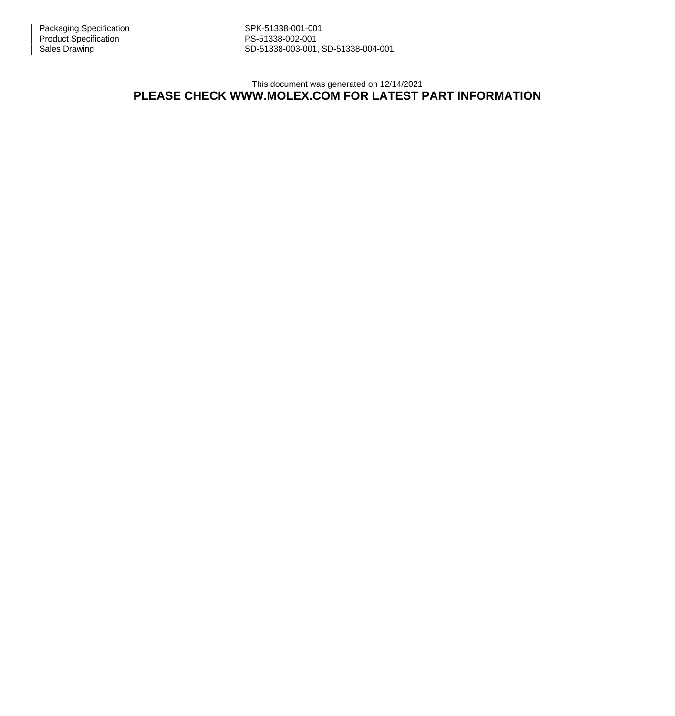Sales Drawing Sales Drawing SD-51338-003-001, SD-51338-004-001

This document was generated on 12/14/2021

## **PLEASE CHECK WWW.MOLEX.COM FOR LATEST PART INFORMATION**